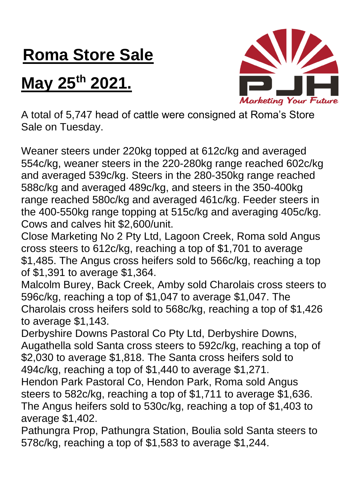## **Roma Store Sale**

## **May 25th 2021.**



A total of 5,747 head of cattle were consigned at Roma's Store Sale on Tuesday.

Weaner steers under 220kg topped at 612c/kg and averaged 554c/kg, weaner steers in the 220-280kg range reached 602c/kg and averaged 539c/kg. Steers in the 280-350kg range reached 588c/kg and averaged 489c/kg, and steers in the 350-400kg range reached 580c/kg and averaged 461c/kg. Feeder steers in the 400-550kg range topping at 515c/kg and averaging 405c/kg. Cows and calves hit \$2,600/unit.

Close Marketing No 2 Pty Ltd, Lagoon Creek, Roma sold Angus cross steers to 612c/kg, reaching a top of \$1,701 to average \$1,485. The Angus cross heifers sold to 566c/kg, reaching a top of \$1,391 to average \$1,364.

Malcolm Burey, Back Creek, Amby sold Charolais cross steers to 596c/kg, reaching a top of \$1,047 to average \$1,047. The Charolais cross heifers sold to 568c/kg, reaching a top of \$1,426 to average \$1,143.

Derbyshire Downs Pastoral Co Pty Ltd, Derbyshire Downs, Augathella sold Santa cross steers to 592c/kg, reaching a top of \$2,030 to average \$1,818. The Santa cross heifers sold to 494c/kg, reaching a top of \$1,440 to average \$1,271.

Hendon Park Pastoral Co, Hendon Park, Roma sold Angus steers to 582c/kg, reaching a top of \$1,711 to average \$1,636. The Angus heifers sold to 530c/kg, reaching a top of \$1,403 to average \$1,402.

Pathungra Prop, Pathungra Station, Boulia sold Santa steers to 578c/kg, reaching a top of \$1,583 to average \$1,244.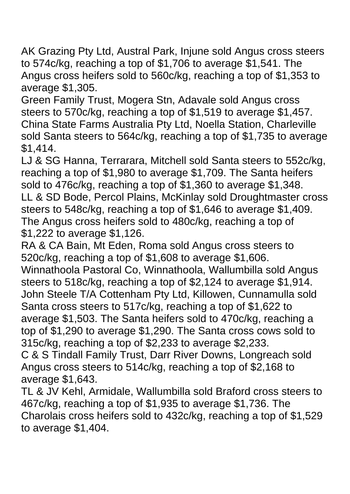AK Grazing Pty Ltd, Austral Park, Injune sold Angus cross steers to 574c/kg, reaching a top of \$1,706 to average \$1,541. The Angus cross heifers sold to 560c/kg, reaching a top of \$1,353 to average \$1,305.

Green Family Trust, Mogera Stn, Adavale sold Angus cross steers to 570c/kg, reaching a top of \$1,519 to average \$1,457. China State Farms Australia Pty Ltd, Noella Station, Charleville sold Santa steers to 564c/kg, reaching a top of \$1,735 to average \$1,414.

LJ & SG Hanna, Terrarara, Mitchell sold Santa steers to 552c/kg, reaching a top of \$1,980 to average \$1,709. The Santa heifers sold to 476c/kg, reaching a top of \$1,360 to average \$1,348. LL & SD Bode, Percol Plains, McKinlay sold Droughtmaster cross steers to 548c/kg, reaching a top of \$1,646 to average \$1,409. The Angus cross heifers sold to 480c/kg, reaching a top of \$1,222 to average \$1,126.

RA & CA Bain, Mt Eden, Roma sold Angus cross steers to 520c/kg, reaching a top of \$1,608 to average \$1,606. Winnathoola Pastoral Co, Winnathoola, Wallumbilla sold Angus steers to 518c/kg, reaching a top of \$2,124 to average \$1,914. John Steele T/A Cottenham Pty Ltd, Killowen, Cunnamulla sold Santa cross steers to 517c/kg, reaching a top of \$1,622 to average \$1,503. The Santa heifers sold to 470c/kg, reaching a top of \$1,290 to average \$1,290. The Santa cross cows sold to 315c/kg, reaching a top of \$2,233 to average \$2,233.

C & S Tindall Family Trust, Darr River Downs, Longreach sold Angus cross steers to 514c/kg, reaching a top of \$2,168 to average \$1,643.

TL & JV Kehl, Armidale, Wallumbilla sold Braford cross steers to 467c/kg, reaching a top of \$1,935 to average \$1,736. The Charolais cross heifers sold to 432c/kg, reaching a top of \$1,529 to average \$1,404.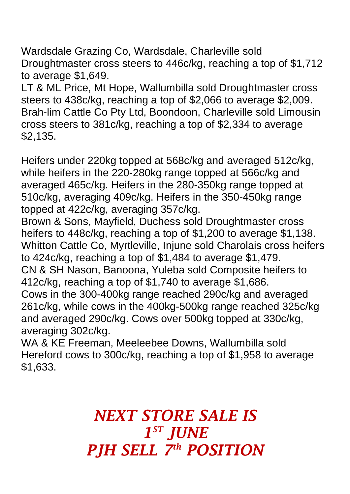Wardsdale Grazing Co, Wardsdale, Charleville sold Droughtmaster cross steers to 446c/kg, reaching a top of \$1,712 to average \$1,649.

LT & ML Price, Mt Hope, Wallumbilla sold Droughtmaster cross steers to 438c/kg, reaching a top of \$2,066 to average \$2,009. Brah-lim Cattle Co Pty Ltd, Boondoon, Charleville sold Limousin cross steers to 381c/kg, reaching a top of \$2,334 to average \$2,135.

Heifers under 220kg topped at 568c/kg and averaged 512c/kg, while heifers in the 220-280kg range topped at 566c/kg and averaged 465c/kg. Heifers in the 280-350kg range topped at 510c/kg, averaging 409c/kg. Heifers in the 350-450kg range topped at 422c/kg, averaging 357c/kg.

Brown & Sons, Mayfield, Duchess sold Droughtmaster cross heifers to 448c/kg, reaching a top of \$1,200 to average \$1,138. Whitton Cattle Co, Myrtleville, Injune sold Charolais cross heifers to 424c/kg, reaching a top of \$1,484 to average \$1,479.

CN & SH Nason, Banoona, Yuleba sold Composite heifers to 412c/kg, reaching a top of \$1,740 to average \$1,686.

Cows in the 300-400kg range reached 290c/kg and averaged 261c/kg, while cows in the 400kg-500kg range reached 325c/kg and averaged 290c/kg. Cows over 500kg topped at 330c/kg, averaging 302c/kg.

WA & KE Freeman, Meeleebee Downs, Wallumbilla sold Hereford cows to 300c/kg, reaching a top of \$1,958 to average \$1,633.

> *NEXT STORE SALE IS 1 ST JUNE PJH SELL 7 th POSITION*